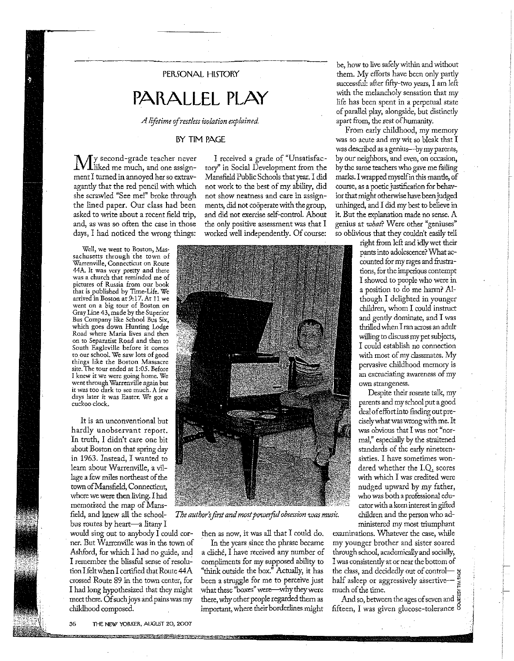## PERSONAL HISTORY

## PARALLEL PLAY

*A lift time* of *restless isolation explained.* 

## BY TIM PAGE

 $\displaystyle {\rm \bf \large M}$ y second-grade teacher never<br>liked me much, and one assignment I turned in annoyed her so extravagantly that the red pencil with which she scrawled "See me!" broke through the lined paper. Our class had been asked to write about a recent field trip, and, as was so often the case in those days, I had noticed the wrong things:

Well, we went to Boston, Massachusetts through the town of Warrenville, Connecticut on Route 44A. It was very pretty and there was a church that reminded me of pictures of Russia from our book that is published by Time-Life. We arrived in Boston at 9:17. At 11 we went on a big tour of Boston on Gray Line 43,made by the Superior Bus Company like School Bus Six, which goes down Hunting Lodge Road where Maria lives and then on to Separatist Road and then to South Eagleville before it comes to our school. We saw lots of good things like the Boston Massacre site. The tour ended at 1:05. Before I knew it we were going home. We went through Warrenville again but it was too dark to see much. A few days later it was Easter. We got a cuckoo clock.

It is an unconventional but hardly unobservant report. In truth, I didn't care one bit about Boston on that spting day in 1963. Instead, I wanted to learn about Warrenville, a village a few miles northeast of the town ofMansfield, Connecticut, where we were then living. I had memorized the map of Mansfield, and knew all the schoolbus routes by heart-a litany I

would sing out to anybody I could corner. But Warrenville was in the town of Ashford, for which I had no guide, and I remember the blissful sense of resolution Ifeltwhen I certified that Route 44A crossed Route 89 in the town center, for I had long hypothesized that they might meet there. Of such joys and pains was my childhood composed.

I received a grade of "Unsatisfactory" in Social Development from the Mansfield Public Schools that year. I did not work to the best of my ability, did not show neatness and care in assignments, did not coöperate with the group, and did not exercise self-control. About the only positive assessment was that I worked well independently. Of course:



The author's first and most powerful obsession was music.

then as now, it was all that I could do.

In the years since the phrase became a cliche, I have received any number of compliments for my supposed ability to "think outside the box." Actually, it has been a struggle for me to perceive just what these "boxes" were---why they were there, why other people regarded them as important, where their borderlines might

be, how to live safely within and without them. My efforts have been only partly successful: after fifiy-two years, I am left with the melancholy sensation that my life has been spent in a perperual state of parallel play, alongside, but distinctly apart from, the rest of humanity.

From early childhood, my memory was so acute and my wit so bleak that I was described as a genius-by my parents, by our neighbors, and even, on occasion, by the same teachers who gave me failing marks. I wrapped myself in this mantle, of course, as a poetic justification for behavior that might otherwise have been judged unhinged, and I did my best to believe in it. But the explanation made no sense. A genius at *what?* Were other "geniuses" so oblivious that they couldn't easily tell

> right from left and idly wet their pants into adolescence? VVhat accounted for my rages and frustrations, for the imperious contempt I showed to people who were in a position to do me harm? Although I delighted in younger children, whom I could instruct and gently dominate, and I was thrilled when I ran across an adult willing to discuss my pet subjects, I could establish no connection with most of my classmates. My pervasive childhood memory is an excruciating awareness of my own strangeness.

> Despite their roseate talk, my parents and my school put a good deal of effort into finding out precisely what was wrong with me. It was obvious that I was not "normal," especially by the straitened standards of the early nineteensixties. I have sometimes wondered whether the I.Q. scores with which I was credited were nudged upward by my father, who was both a professional educatorwith a keen interest in gifted children and the person who administered my most triumphant

examinations. VVhatever the case, while my younger brother and sister soared through school, academically and socially, I was consistently at or near the bottom of the class, and decidedly out of controlhalf asleep or aggressively assertivemuch of the time. <sup>~</sup>

And so, between the ages of seven and  $\frac{11}{2}$ fifteen, I was given glucose-tolerance 8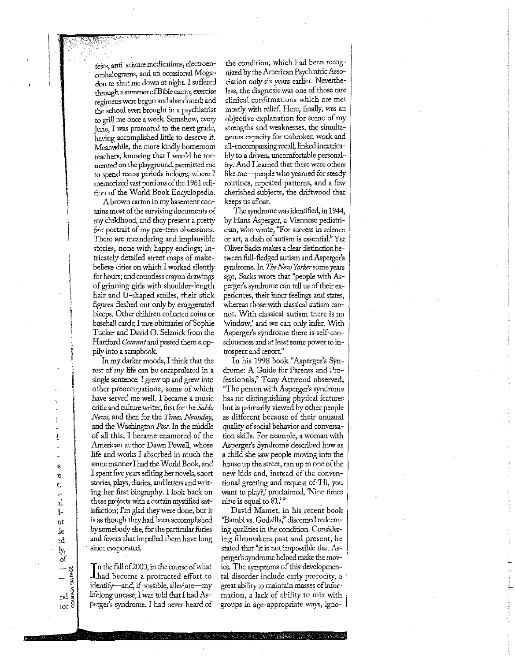tests, anti-seizure medications, electroencephalograms, and an occasional Megadon to shut-me down at night. I suffered through a summer ofBible camp; exercise regimens were begun and abandoned; and the school even brought in a psychiatrist to grill me once a week Somehow, every June, I was promoted to the next grade, having accomplished little to deserve it. Meanwhile, the more kindly homeroom teachers, knowing that I would be tormented on the playground, permitted me to spend recess periods indoors, where I memorized vast portions of the 1961 edition of the World Book Encyclopedia.

A brown carton in my basement contains most of the surviving documents of my childhood, and they present a pretty fair portrait of my pre-teen obsessions. There are meandering and implausible stories, none with happy endings; intricately detailed street maps of makebelieve cities on which I worked silently for hours; and countless crayon drawings of grinning girls with shoulder-length hair and U-shaped smiles, their stick figures fleshed out only by exaggerated biceps. Other children collected coins or baseball cards; I tore obitnaries of Sophie Tucker and David 0. Selznick from the Hartford *Courant* and pasted them sloppily into a scrapbook

In my darker moods, I think that the rest of my life can be encapsulated in a single sentence: I grew up and grew into other preoccupations, some of which have served me well. I became a music critic and culture writer, first for the *SoHo News,* and then for the *Times, Newsday,*  and the Washington *Post*. In the middle of all this, I became enamored of the American author Dawn Powell, whose life and works I absorbed in much the same manner I had the World Book, and I spent five years editing her novels, short stories, plays, diaries, and letters and vvriting her first biography. I look back on these projects with a certain mystified satisfaction; fm glad they were done, but it is as though they had been accomplished by somebody else, for the particular furies and fevers that impelled them have long since evaporated.

l

t

r,  $\mathbf{I}$ :d lnt le ,d ly, of

:S e

TIM PAGE

 $\lim_{x \to 0}$  $_{1}$ ce  $\theta$ 

In the fall of 2000, in the course of what<br>had become a protracted effort to n the fall of2000, in the course of what identify—and, if possible, alleviate—my lifelong unease, I was told that I had Asperger's syndrome. I had never heard of

the condition; which had been recognized by the American Psychiatric Association only six years earlier. Nevertheless, the diagnosis was one of those rare clinical confirmations which are met mostly with relie£ Here, finally, was an objective explanation for some of my strengths and weaknesses, the simultaneous capacity for unbroken work and all-encompassing recall, linked inextricably to a driven, uncomfortable personality. And I learned that there were others like me--people who yearned for steady routines, repeated patterns, and a few cherished subjects, the driftwood that keeps us afloat.

The syndrome was identified, in 1944, by Hans Asperger, a Viennese pediatrician, who wrote, "For success in science or art, a dash of autism is essential" Yet Oliver Sacks makes a clear distinction between full-fledged autism and Asperger's syndrome. In *The New Yorker* some years ago, Sacks wrote that "people with Asperger's syndrome can teli us of their experiences, their inner feelings and states, whereas those with classical autism cannot. *With* classical autism there is no 'window,' and we can only infer. With Asperger's syndrome there is self-consciousness and at least some power to introspect and report."

In his 1998 book "Asperger's Syndrome: A Guide for Parents and Professionals," Tony Attwood observed, "The person with Asperger's syndrome has no distinguishing physical featnres but is primarily viewed by other people as different because of their unusual quality of social behavior and conversation skills. For example, a woman with Asperger's Syndrome described how as a child she saw people moving into the house up the street, ran up to one of the new kids and, instead of the conventional greeting and request of 'Hi, you want to play?,' proclaimed, 'Nine times nine is equal to 81.'"

David Mamet, in his recent book ''Bambi vs. Godzilla," discerned redeeming qualities in the condition. Considering filmmakers past and present, he stated that "it is not impossible that Asperger's syndrome helped make the movies. The symptoms of this developmental disorder include early precocity, a great ability to maintain masses of information, a lack of ability to mix with groups in age-appropriate ways, igno-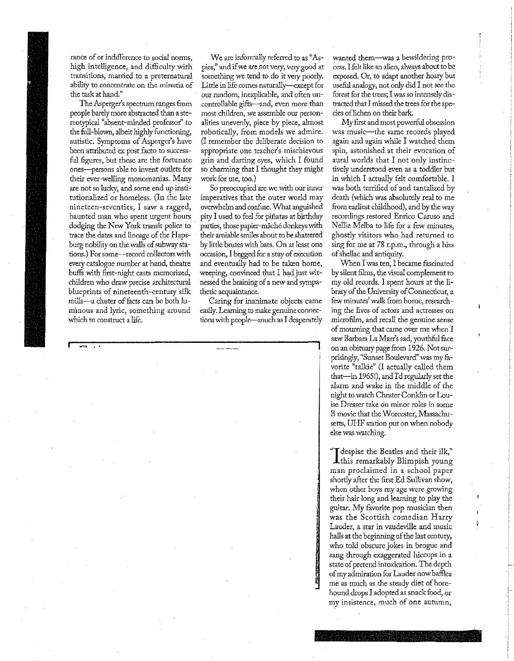ranee of or indifference to social norms, high intelligence, and difficulty with transitions, married to a preternatural ability to concentrate on the minutia of the task at hand."

The Asperger's spectrum ranges from people barely more abstracted than a stereotypical "absent-minded professor'' to the full-blown, albeit highly functioning, autistic. Symptoms of Asperger's have been attributed ex post facto to successful figures, but these are the fortunate ones-persons able to invent outlets for their ever-welling monomanias. Many are not so lucky, and some end up institutionalized or homeless. (In the late nineteen-seventies, I saw a ragged, haunted man who spent urgent hours dodging the New York transit police to trace the dates and lineage of the Hapsburg nobility on the walls of subway stations.) For some --- record collectors with every catalogue number at hand, theatre buffs with first-night casts memorized, cbildren who draw precise architectural blueprints of nineteenth-century silk mills-a cluster of facts can be both luminous and lyric, something around which to construct a life.

 $\overline{\phantom{a}}$ 

We are informally referred to as "Aspies," and if we are not very, very good at something we tend to do it very poorly. Little in life comes naturally-except for our random, inexplicable, and often uncontrollable gifts---and, even more than most children, we assemble our personalities unevenly, piece by piece, almost robotically, from models we admire. (I remember the deliberate decision to appropriate one teacher's mischievous grin and darting eyes, which I found so charming that I thought they might work for me, too.)

So preoccupied are we with our inner imperatives that the outer world may overwhelm and confuse. What anguished pity I used to feel for pinatas at birthday parties, those papier-mache donkeys with their amiable smiles about to be shattered by little brutes with bats. On at least one occasion, I begged for a stay of execution and eventually had to be taken home, weeping, convinced that I had just witnessed the braining of a new and sympathetic acquaintance.

Caring for inanimate objects came easily. Learning to make genuine connections with people-much as I desperately wanted them-was a bewildering process. I felt like an alien, always about to be exposed. Or, to adapt another hoary but useful analogy, not only did I not see the forest for the trees; I was so intensely distracted that I missed the trees for the species oflichen on their bark.

My first and most powerful obsession was music-the same records played again and again while I watched them spin, astonished at their evocation of aural worlds that I not only instinctively understood even as a toddler but in which I actually felt comfortable. I was both terrified of and tantalized by death (which was absolutely real to me from earliest childhood), and by the way recordings restored Enrico Caruso and Nellie Melba to life for a few minutes, ghostly visitors who had returned to sing for me at 78 r.p.m., through a hiss of shellac and antiquity.

YVhen I was ten, I became fascinated by silent films, the visual complement to my old records. I spent hours at the library of the University of Connecticut, a few minutes' walk from home, researching the lives of actors and actresses on microfilm, and recall the genuine sense of mourning that came over me when I saw Barbara LaMarr's sad, youthful face on an obituary page from 1926. Notsurprisingly, "Sunset Boulevard" was my favorite "talkie" (I actually called them that-in 1965!), and I'd regularly set the alarm and wake *in* the middle of the night to watch Chester Conklin or Louise Dresser take on minor roles in some B movie that the Worcester, Massachusetts, UHF station put on when nobody else was watching.

T despise the Beatles and their ilk," this remarkably Blimpish young man proclaimed in a school paper shortly after the first Ed Sullivan show, when other boys my age were growing their hair long and learning to play the guitar. My favorite pop musician then was the Scottish comedian Harry Lauder, a star in vaudeville and music halls at the beginning of the last century, who told obscure jokes in brogue and sang through exaggerated hiccups in a state of pretend intoxication. The depth of my admiration for Lauder now baffles me as much as the steady diet of horehound drops I adopted as snack food, or my insistence, much of one autumn,

ſ Ŷ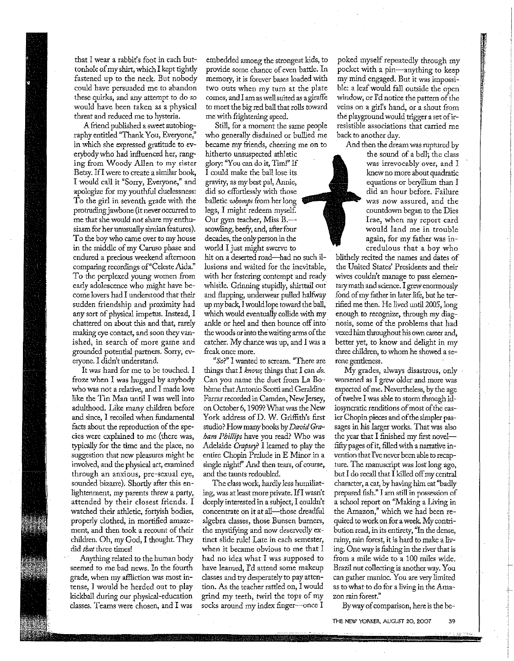**that I wear a rabbit's foot in each but**tonhole of my shirt, which I kept tighdy fastened up to the neck. But nobody **could have persuaded me to abandon these quirks, and any attempt to do so**  would have been taken as a physical **threat and reduced me to hysteria.** 

A friend published a sweet autobiog**raphy entitled ''Thank You, Everyone,"**  in which she expressed gratitude to everybody who had influenced her, rang**ing from Woody Allen to my sister**  Betsy. If I were to create a similar book, **I would call it "Sorry, Everyone," and**  apologize for my youthful cluelessness: To the girl in seventh grade with the protruding jawbone (it never occurred to **me that she would not share my enthusiasm for her unusually simian features). To the boy who came over to my house**  in the middle of my Caruso phase and **endured a precious weekend afternoon**  comparing recordings of"Celeste Aida." To the perplexed young women from early adolescence who might have be**come lovers had I understood that their**  sudden friendship and proximity had any sort of physical impetus. Instead, I chattered on about this and that, rarely **making eye contact, and soon they vanished, in search of more game and**  grounded potential partners. Sorry, ev**eryone. I didn't understand.** 

It was hard for me to be touched. I froze when I was hugged by anybody **who was not a relative, and I made love**  like the Tin Man until I was well into adulthood. Like many children before **and since, I recoiled when fundamental**  facts about the reproduction of the spe**cies were explained to me (there was,**  typically for the time and the place, no **suggestion that new pleasures might be**  involved, and the physical act, examined **through an anxious, pre-sexual eye,**  sounded bizarre). Shordy after this enlightenment, my parents threw a party, attended by their closest friends. l watched their athletic, fortyish bodies, properly clothed, in mortified amaze**ment, and then took a recount of their**  children. Oh, my God, I thought. They did *that* three times!

Anything related to the human body **seemed to** *me* **bad news. In the fourth grade, when my affiiction was most in**tense, I would be herded out to play kickball during our physical-education **classes. Teams were chosen, and I was** 

**embedded among the strongest kids, to provide some chance of even battle. In memory, it is forever bases loaded with two outs when my turn at the plate comes, and I am as well suited as a giraffe**  to meet the big red ball that rolls toward me with frightening speed.

Still, for a moment the same people who generally disdained or bullied me **became my friends, cheering me on to**  hitherto unsuspected athletic **glory: "You can do it, Tim!" If**  I could make the ball lose its gravity, as my best pal, Annie, did so effortlessly with those balletic *whomps* from her long legs, I might redeem myself. **Our gym teacher, Miss B. scowling, beefjr, and, after four decades, the only person in the**  world I just might swerve to

hit on a deserted road-had no such il**lusions and waited for the inevitable, with her festering contempt and ready**  whisrle. Grinning stupidly, shirttail out and flapping, underwear pulled halfway up my back, I would lope toward the ball, which would eventually collide with my ankle or heel and then bounce off into **the woods or into the waiting arms of the catcher. My chance was up, and I was a freak once more.** 

*"So?"* **I wanted to scream. 'There are**  things that I *know;* things that I can *do.*  Can you name the duet from La Boheme that Antonio Scotti and Geraldine **Farrar recorded in Camden, New Jersey,**  on October 6, 1909? What was the New York address of D. W. Griffith's first studio? How many books by *David Graham Phillips* have you read? Who was Adelaide *Crapsejl* I learned to play the entire Chopin Prelude in E Minor in a **single night!" And then tears, of course,**  and the taunts redoubled.

The class work, hardly less humiliat**ing, was at least more private. Ifi wasn't deeply interested in a subject, I couldn't**  concentrate on it at all-those dreadful **algebra classes, those Bunsen burners,**  the mystifYing and now deservedly ex**tinct slide rule! Late in each semester, when it became obvious to me that I**  had no idea what I was supposed to have learned, I'd attend some makeup classes and try desperately to pay attention. As the teacher rattled on, I would grind my teeth, twirl the tops of my socks around my index finger-once I

poked myself repeatedly through my pocket with a pin-anything to keep **my mind engaged. But it was impossi**ble: a leaf would fall outside the open window, or I'd notice the pattern of the **veins on a girl's hand, or a shout from**  the playground would trigger a set of ir**resistible associations that carried me**  back to another day.

And then the dream was ruptured by

the sound of a bell; the class **was irrevocably over, and I knew no more about quadratic**  equations or beryllium than I did an hour before. Failure **was now assured, and the countdown began to the Dies Irae, when my report card**  would land me in trouble **again, for my father was in**credulous that a boy who

blithely recited the names and dates of the United States' Presidents and their **wives couldn't manage to pass elemen**tary math and science. I grew enormously fond of my father in later life, but he terrified me then. He lived until2005, long enough to recognize, through my diag**nosis, some of the problems that had**  vexed him throughout his own career and, better yet, to know and delight in my **three children, to whom he showed a** se**rene gentleness.** 

My grades, always disastrous, only **worsened as I grew older and more was**  expected of me. Nevertheless, by the age of twelve I was able to storm through id**iosyncratic renditions of most of the eas**ier Chopin pieces and of the simpler passages in his larger works. That was also the year that I finished my first novelfifry pages of it, filled with a narrative in- **-vention that fve never been able to recapture. The manuscript was lost long ago,**  but I do recall that I killed off my central character, a cat, by having him eat "badly **prepared fish\_" I am still in possession of**  a school report on "Making a Living in **the Amazon," which we had been required to work on for a week My contribution read, in its entirety, "In the dense, rainy, rain forest, it is hard to make a liv**ing. One way is fishing in the river that is from a mile wide to a 100 miles wide. **Brazil nut collecting is another way. You can gather manioc. You are very limited as to what to do for a living in the Amawn rain forest."** 

**Byway of comparison, here is the be-**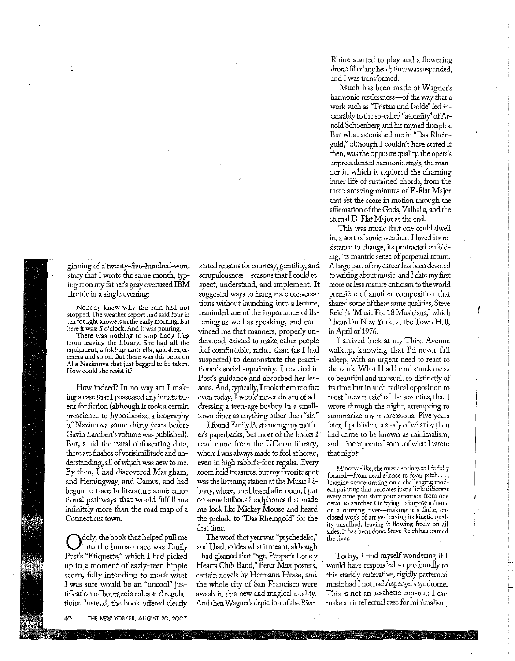ginning of a twenty-five-hundred-word story that I wrote the same month, typing it on my father's gray oversized IBM electric in a single evening:

Nobody knew why the rain had not stopped. The weather report had said four in ten for light showers in the early morning. But here it was: 5 o'clock. And it was pouring.

There was nothing to stop Lady Lieg from leaving the library. She had all the equipment, a fold~up umbrella, galoshes, et~ cetera and so on. But there was this book on Alia Nazimova that just begged to be taken. How could she resist it?

How indeed? In no way am I making a case that I possessed any innate talent for fiction (although it took a certain prescience to hypothesize a biography of Nazimova some thirty years before Gavin Lambert's volume was published). But, amid the usual obfuscating data, there are flashes of verisimilitude and understanding, all of which was new to me. By then, I had discovered Maugham, and Hemingway, and Camus, and had begun to trace in literature some emotional pathways that would fulfill me infinitely more than the road map of a Connecticut town.

Oddly, the book that helped pull me into the human race was Emily Post's "Etiquette," which I had picked up in a moment of early-teen hippie scorn, fully intending to mock what I was sure would be an "uncool" justification ofbourgeois rules and regulations. Instead, the book offered clearly

stated reasons for courtesy, gentility, and scrupulousness-reasons that I could respect, understand, and implement. It suggested ways to inaugurate conversations without launching into a lecture, reminded me of the importance of listening as well as speaking, and convinced me that manners, properly understood, existed to make other people feel comfortable, rather than (as I had suspected) to demonstrate the practitioner's social superiority. I revelled in Post's guidance and absorbed her lessons. And, typically, I took them too far: even today, I would never dream of addressing a teen-age busboy in a smalltown diner as anything other than "sir."

I found Emily Post among my mother's paperbacks, but most of the books I· read came from the UConn library, where I was always made to feel at home, even in high rabbit's-foot regalia. Every room held treasures, but my favorite spot was the listening station at the Music Libraty, where, one blessed aflernoon, I put on some bulbous headphones that made me look like Mickev Mouse and heard the prelude to "Das Rheingold" for the first time.

The word that yearwas "psychedelic," and I had no idea what it meant, although I had gleaned that "Sgt. Pepper's Lonely Hearts Club Band," Peter Max posters, certain novels by Hermann Hesse, and the whole city of San Francisco were awash in this new and magical quality. And then Wagner's depiction of the River

Rhine started to play and a flowering drone filled my head; time was suspended, and I was transformed.

Much has been made of Wagner's harmonic restlessness-of the way that a work such as 'Tristan und Isolde" led inexorably to the so-called "atonality" of Arnold Schoenberg and his myriad disciples. But what astonished me in "Das Rheingold," although I couldn't have stated it then, was the opposite quality: the opera's unprecedented harmonic stasis, the manner in which it explored the churning inner life of sustained chords, from the three amazing minutes ofE-Flat Major that set the score in motion through the aflinnation of the Gods, Valhalla, and the eternal D-F1at Major at the end.

This was music that one could dwell in, a sort of sonic weather. I loved its resistance to change, its protracted unfolding, its mantric sense of perpetual return. A large part of my career has been devoted to writing about music, and I date my first more or less mature criticism to the world premiere of another composition that shared some of these same qualities, Steve Reich's "Music For 18 Musicians,"which I heard in New York, at the Town Hall, in April of 1976.

I arrived back at my Third Avenue walkup, knowing that I'd never fall asleep, with an urgent need to react to the work. What I had heard struck me as so beautiful and unusual, so distinctly of its time but in such radical opposition to most "new music" of the seventies, that I wrote through the night, attempting to summarize my impressions. Five years later, I published a study of what by then had come to be known as minimalism, and it incorporated some of what I wrote that night:

Minerva-like, the music springs to life fully formed-from dead silence to fever pitch.... Imagine concentrating on a challenging modern painting that becomes just a little different every time you shift your attention from one detail to another. Or trying to impose a frame on a running river-making it a finite, enclosed work of art yet leaving its kinetic quality unsullied, leaving it flowing freely on all sides. It has been done. Steve Reich has framed the river.

Today, I find myself wondering if I would have responded so profoundly to this starkly reiterative, rigidly patterned music had I not hadAsperger's syndrome. This is not an aesthetic cop-out: I can make an intellectual case for minimalism,